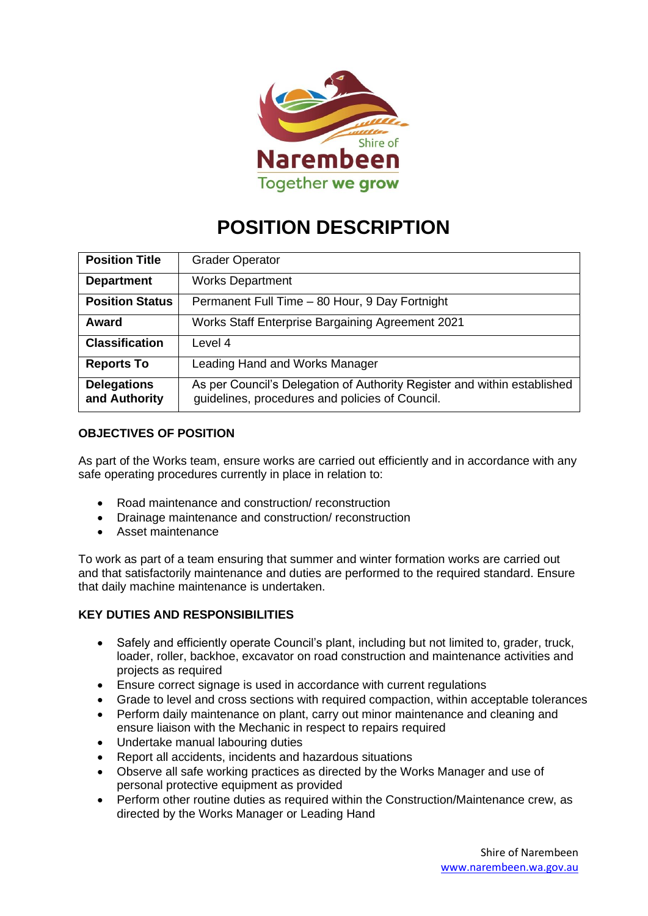

# **POSITION DESCRIPTION**

| <b>Position Title</b>               | <b>Grader Operator</b>                                                                                                      |
|-------------------------------------|-----------------------------------------------------------------------------------------------------------------------------|
| <b>Department</b>                   | <b>Works Department</b>                                                                                                     |
| <b>Position Status</b>              | Permanent Full Time - 80 Hour, 9 Day Fortnight                                                                              |
| Award                               | Works Staff Enterprise Bargaining Agreement 2021                                                                            |
| <b>Classification</b>               | Level 4                                                                                                                     |
| <b>Reports To</b>                   | Leading Hand and Works Manager                                                                                              |
| <b>Delegations</b><br>and Authority | As per Council's Delegation of Authority Register and within established<br>guidelines, procedures and policies of Council. |

# **OBJECTIVES OF POSITION**

As part of the Works team, ensure works are carried out efficiently and in accordance with any safe operating procedures currently in place in relation to:

- Road maintenance and construction/ reconstruction
- Drainage maintenance and construction/ reconstruction
- Asset maintenance

To work as part of a team ensuring that summer and winter formation works are carried out and that satisfactorily maintenance and duties are performed to the required standard. Ensure that daily machine maintenance is undertaken.

# **KEY DUTIES AND RESPONSIBILITIES**

- Safely and efficiently operate Council's plant, including but not limited to, grader, truck, loader, roller, backhoe, excavator on road construction and maintenance activities and projects as required
- Ensure correct signage is used in accordance with current regulations
- Grade to level and cross sections with required compaction, within acceptable tolerances
- Perform daily maintenance on plant, carry out minor maintenance and cleaning and ensure liaison with the Mechanic in respect to repairs required
- Undertake manual labouring duties
- Report all accidents, incidents and hazardous situations
- Observe all safe working practices as directed by the Works Manager and use of personal protective equipment as provided
- Perform other routine duties as required within the Construction/Maintenance crew, as directed by the Works Manager or Leading Hand